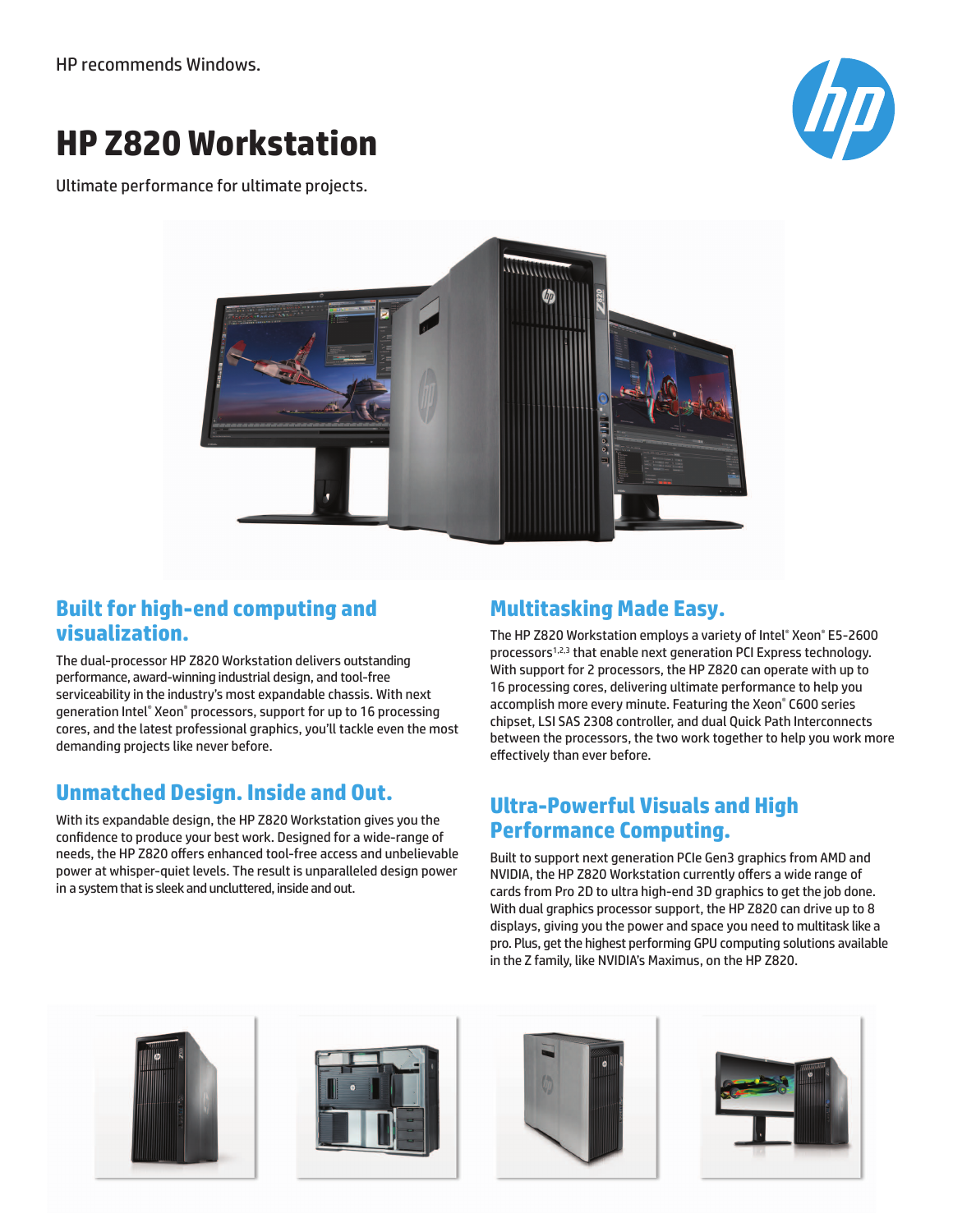HP recommends Windows.

# **HP Z820 Workstation**

Ultimate performance for ultimate projects.





#### **Built for high-end computing and visualization.**

The dual-processor HP Z820 Workstation delivers outstanding performance, award-winning industrial design, and tool-free serviceability in the industry's most expandable chassis. With next generation Intel® Xeon® processors, support for up to 16 processing cores, and the latest professional graphics, you'll tackle even the most demanding projects like never before.

# **Unmatched Design. Inside and Out.**

With its expandable design, the HP Z820 Workstation gives you the confidence to produce your best work. Designed for a wide-range of needs, the HP Z820 offers enhanced tool-free access and unbelievable power at whisper-quiet levels. The result is unparalleled design power in a system that is sleek and uncluttered, inside and out.

## **Multitasking Made Easy.**

The HP Z820 Workstation employs a variety of Intel® Xeon® E5-2600 processors1,2,3 that enable next generation PCI Express technology. With support for 2 processors, the HP Z820 can operate with up to 16 processing cores, delivering ultimate performance to help you accomplish more every minute. Featuring the Xeon® C600 series chipset, LSI SAS 2308 controller, and dual Quick Path Interconnects between the processors, the two work together to help you work more effectively than ever before.

### **Ultra-Powerful Visuals and High Performance Computing.**

Built to support next generation PCIe Gen3 graphics from AMD and NVIDIA, the HP Z820 Workstation currently offers a wide range of cards from Pro 2D to ultra high-end 3D graphics to get the job done. With dual graphics processor support, the HP Z820 can drive up to 8 displays, giving you the power and space you need to multitask like a pro. Plus, get the highest performing GPU computing solutions available in the Z family, like NVIDIA's Maximus, on the HP Z820.